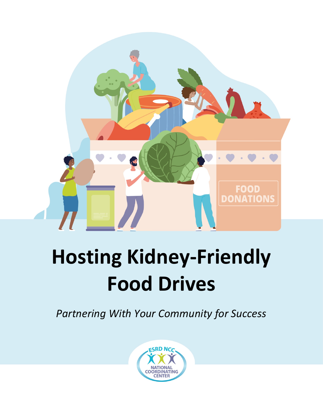

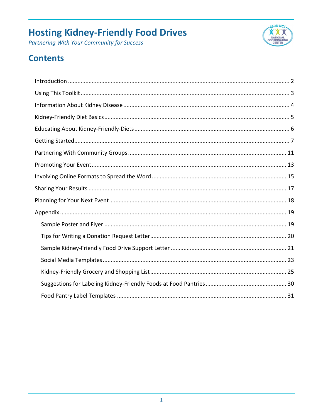Partnering With Your Community for Success



### **Contents**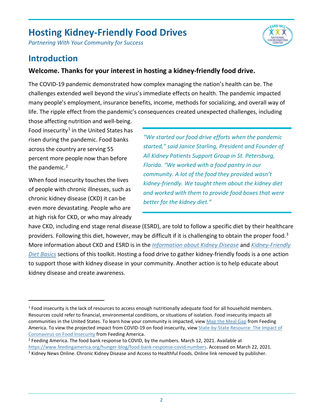*Partnering With Your Community for Success*



### <span id="page-2-0"></span>**Introduction**

#### **Welcome. Thanks for your interest in hosting a kidney-friendly food drive.**

The COVID-19 pandemic demonstrated how complex managing the nation's health can be. The challenges extended well beyond the virus's immediate effects on health. The pandemic impacted many people's employment, insurance benefits, income, methods for socializing, and overall way of life. The ripple effect from the pandemic's consequences created unexpected challenges, including

those affecting nutrition and well-being. Food insecurity<sup>[1](#page-2-1)</sup> in the United States has risen during the pandemic. Food banks across the country are serving 55 percent more people now than before the pandemic.<sup>[2](#page-2-2)</sup>

When food insecurity touches the lives of people with chronic illnesses, such as chronic kidney disease (CKD) it can be even more devastating. People who are at high risk for CKD, or who may already

*"We started our food drive efforts when the pandemic started," said Janice Starling, President and Founder of All Kidney Patients Support Group in St. Petersburg, Florida. "We worked with a food pantry in our community. A lot of the food they provided wasn't kidney-friendly. We taught them about the kidney diet and worked with them to provide food boxes that were better for the kidney diet."*

have CKD, including end stage renal disease (ESRD), are told to follow a specific diet by their healthcare providers. Following this diet, however, may be difficult if it is challenging to obtain the proper food.<sup>[3](#page-2-3)</sup> More information about CKD and ESRD is in the *[Information about Kidney Disease](#page-4-0)* and *[Kidney-Friendly](#page-5-0)  [Diet Basics](#page-5-0)* sections of this toolkit. Hosting a food drive to gather kidney-friendly foods is a one action to support those with kidney disease in your community. Another action is to help educate about kidney disease and create awareness.

<span id="page-2-1"></span><sup>&</sup>lt;sup>1</sup> Food insecurity is the lack of resources to access enough nutritionally adequate food for all household members. Resources could refer to financial, environmental conditions, or situations of isolation. Food insecurity impacts all communities in the United States. To learn how your community is impacted, vie[w Map the Meal Gap](http://map.feedingamerica.org/) from Feeding America. To view the projected impact from COVID-19 on food insecurity, vie[w State-by-State Resource: The Impact of](https://feedingamericaaction.org/resources/state-by-state-resource-the-impact-of-coronavirus-on-food-insecurity/)  [Coronavirus on Food Insecurity](https://feedingamericaaction.org/resources/state-by-state-resource-the-impact-of-coronavirus-on-food-insecurity/) from Feeding America.

<span id="page-2-2"></span><sup>&</sup>lt;sup>2</sup> Feeding America. The food bank response to COVID, by the numbers. March 12, 2021. Available at [https://www.feedingamerica.org/hunger-blog/food-bank-response-covid-numbers.](https://www.feedingamerica.org/hunger-blog/food-bank-response-covid-numbers) Accessed on March 22, 2021.

<span id="page-2-3"></span><sup>&</sup>lt;sup>3</sup> Kidney News Online. Chronic Kidney Disease and Access to Healthful Foods. Online link removed by publisher.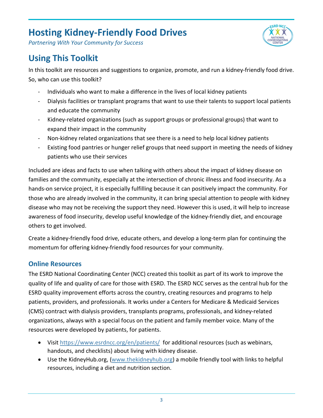

*Partnering With Your Community for Success*

### <span id="page-3-0"></span>**Using This Toolkit**

In this toolkit are resources and suggestions to organize, promote, and run a kidney-friendly food drive. So, who can use this toolkit?

- Individuals who want to make a difference in the lives of local kidney patients
- Dialysis facilities or transplant programs that want to use their talents to support local patients and educate the community
- Kidney-related organizations (such as support groups or professional groups) that want to expand their impact in the community
- Non-kidney related organizations that see there is a need to help local kidney patients
- Existing food pantries or hunger relief groups that need support in meeting the needs of kidney patients who use their services

Included are ideas and facts to use when talking with others about the impact of kidney disease on families and the community, especially at the intersection of chronic illness and food insecurity. As a hands-on service project, it is especially fulfilling because it can positively impact the community. For those who are already involved in the community, it can bring special attention to people with kidney disease who may not be receiving the support they need. However this is used, it will help to increase awareness of food insecurity, develop useful knowledge of the kidney-friendly diet, and encourage others to get involved.

Create a kidney-friendly food drive, educate others, and develop a long-term plan for continuing the momentum for offering kidney-friendly food resources for your community.

#### **Online Resources**

The ESRD National Coordinating Center (NCC) created this toolkit as part of its work to improve the quality of life and quality of care for those with ESRD. The ESRD NCC serves as the central hub for the ESRD quality improvement efforts across the country, creating resources and programs to help patients, providers, and professionals. It works under a Centers for Medicare & Medicaid Services (CMS) contract with dialysis providers, transplants programs, professionals, and kidney-related organizations, always with a special focus on the patient and family member voice. Many of the resources were developed by patients, for patients.

- Visi[t https://www.esrdncc.org/en/patients/](https://www.esrdncc.org/en/patients/) for additional resources (such as webinars, handouts, and checklists) about living with kidney disease.
- Use the KidneyHub.org, [\(www.thekidneyhub.org\)](http://www.thekidneyhub.org/) a mobile friendly tool with links to helpful resources, including a diet and nutrition section.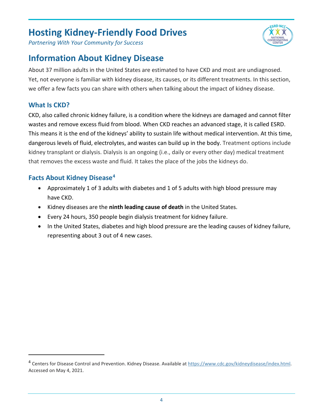*Partnering With Your Community for Success*

### <span id="page-4-0"></span>**Information About Kidney Disease**

About 37 million adults in the United States are estimated to have CKD and most are undiagnosed. Yet, not everyone is familiar with kidney disease, its causes, or its different treatments. In this section, we offer a few facts you can share with others when talking about the impact of kidney disease.

#### **What Is CKD?**

CKD, also called chronic kidney failure, is a condition where the kidneys are damaged and cannot filter wastes and remove excess fluid from blood. When CKD reaches an advanced stage, it is called ESRD. This means it is the end of the kidneys' ability to sustain life without medical intervention. At this time, dangerous levels of fluid, electrolytes, and wastes can build up in the body. Treatment options include kidney transplant or dialysis. Dialysis is an ongoing (i.e., daily or every other day) medical treatment that removes the excess waste and fluid. It takes the place of the jobs the kidneys do.

#### **Facts About Kidney Disease[4](#page-4-2)**

- Approximately 1 of 3 adults with diabetes and 1 of 5 adults with high blood pressure may have CKD.
- Kidney diseases are the **ninth leading cause of death** in the United States.
- Every 24 hours, 350 people begin dialysis treatment for kidney failure.
- <span id="page-4-1"></span>• In the United States, diabetes and high blood pressure are the leading causes of kidney failure, representing about 3 out of 4 new cases.



<span id="page-4-2"></span><sup>&</sup>lt;sup>4</sup> Centers for Disease Control and Prevention. Kidney Disease. Available a[t https://www.cdc.gov/kidneydisease/index.html.](https://www.cdc.gov/kidneydisease/index.html) Accessed on May 4, 2021.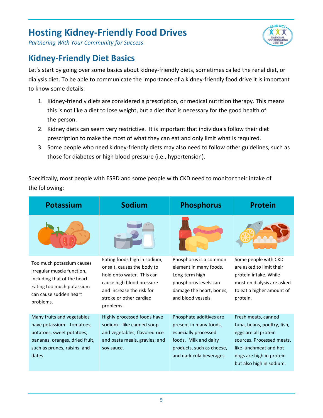

*Partnering With Your Community for Success*

### <span id="page-5-0"></span>**Kidney-Friendly Diet Basics**

Let's start by going over some basics about kidney-friendly diets, sometimes called the renal diet, or dialysis diet. To be able to communicate the importance of a kidney-friendly food drive it is important to know some details.

- 1. Kidney-friendly diets are considered a prescription, or medical nutrition therapy. This means this is not like a diet to lose weight, but a diet that is necessary for the good health of the person.
- 2. Kidney diets can seem very restrictive. It is important that individuals follow their diet prescription to make the most of what they can eat and only limit what is required.
- 3. Some people who need kidney-friendly diets may also need to follow other guidelines, such as those for diabetes or high blood pressure (i.e., hypertension).

Specifically, most people with ESRD and some people with CKD need to monitor their intake of the following:

| Potassium                                                                                                                                                       | Sodium                                                                                                                                                                                     | <b>Phosphorus</b>                                                                                                                                           | <b>Protein</b>                                                                                                                                                                            |
|-----------------------------------------------------------------------------------------------------------------------------------------------------------------|--------------------------------------------------------------------------------------------------------------------------------------------------------------------------------------------|-------------------------------------------------------------------------------------------------------------------------------------------------------------|-------------------------------------------------------------------------------------------------------------------------------------------------------------------------------------------|
|                                                                                                                                                                 |                                                                                                                                                                                            |                                                                                                                                                             |                                                                                                                                                                                           |
| Too much potassium causes<br>irregular muscle function,<br>including that of the heart.<br>Eating too much potassium<br>can cause sudden heart<br>problems.     | Eating foods high in sodium,<br>or salt, causes the body to<br>hold onto water. This can<br>cause high blood pressure<br>and increase the risk for<br>stroke or other cardiac<br>problems. | Phosphorus is a common<br>element in many foods.<br>Long-term high<br>phosphorus levels can<br>damage the heart, bones,<br>and blood vessels.               | Some people with CKD<br>are asked to limit their<br>protein intake. While<br>most on dialysis are asked<br>to eat a higher amount of<br>protein.                                          |
| Many fruits and vegetables<br>have potassium-tomatoes,<br>potatoes, sweet potatoes,<br>bananas, oranges, dried fruit,<br>such as prunes, raisins, and<br>dates. | Highly processed foods have<br>sodium-like canned soup<br>and vegetables, flavored rice<br>and pasta meals, gravies, and<br>soy sauce.                                                     | Phosphate additives are<br>present in many foods,<br>especially processed<br>foods. Milk and dairy<br>products, such as cheese,<br>and dark cola beverages. | Fresh meats, canned<br>tuna, beans, poultry, fish,<br>eggs are all protein<br>sources. Processed meats,<br>like lunchmeat and hot<br>dogs are high in protein<br>but also high in sodium. |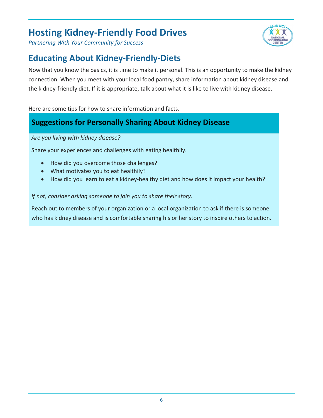*Partnering With Your Community for Success*

### <span id="page-6-0"></span>**Educating About Kidney-Friendly-Diets**

Now that you know the basics, it is time to make it personal. This is an opportunity to make the kidney connection. When you meet with your local food pantry, share information about kidney disease and the kidney-friendly diet. If it is appropriate, talk about what it is like to live with kidney disease.

Here are some tips for how to share information and facts.

### **Suggestions for Personally Sharing About Kidney Disease**

*Are you living with kidney disease?* 

Share your experiences and challenges with eating healthily.

- How did you overcome those challenges?
- What motivates you to eat healthily?
- How did you learn to eat a kidney-healthy diet and how does it impact your health?

#### *If not, consider asking someone to join you to share their story.*

<span id="page-6-1"></span>Reach out to members of your organization or a local organization to ask if there is someone who has kidney disease and is comfortable sharing his or her story to inspire others to action.

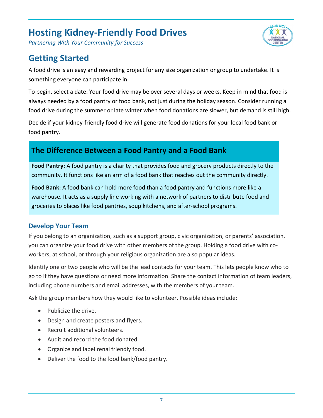*Partnering With Your Community for Success*

### **Getting Started**

A food drive is an easy and rewarding project for any size organization or group to undertake. It is something everyone can participate in.

To begin, select a date. Your food drive may be over several days or weeks. Keep in mind that food is always needed by a food pantry or food bank, not just during the holiday season. Consider running a food drive during the summer or late winter when food donations are slower, but demand is still high.

**ESRD NCC** 

Decide if your kidney-friendly food drive will generate food donations for your local food bank or food pantry.

### **The Difference Between a Food Pantry and a Food Bank**

**Food Pantry:** A food pantry is a charity that provides food and grocery products directly to the community. It functions like an arm of a food bank that reaches out the community directly.

**Food Bank:** A food bank can hold more food than a food pantry and functions more like a warehouse. It acts as a supply line working with a network of partners to distribute food and groceries to places like food pantries, soup kitchens, and after-school programs.

#### **Develop Your Team**

If you belong to an organization, such as a support group, civic organization, or parents' association, you can organize your food drive with other members of the group. Holding a food drive with coworkers, at school, or through your religious organization are also popular ideas.

Identify one or two people who will be the lead contacts for your team. This lets people know who to go to if they have questions or need more information. Share the contact information of team leaders, including phone numbers and email addresses, with the members of your team.

Ask the group members how they would like to volunteer. Possible ideas include:

- Publicize the drive.
- Design and create posters and flyers.
- Recruit additional volunteers.
- Audit and record the food donated.
- Organize and label renal friendly food.
- Deliver the food to the food bank/food pantry.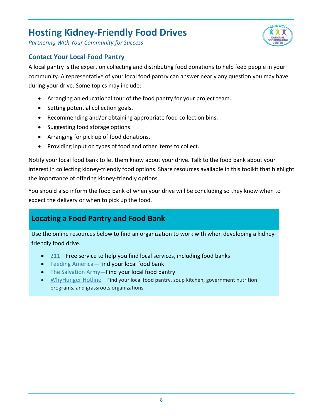

*Partnering With Your Community for Success*

#### **Contact Your Local Food Pantry**

A local pantry is the expert on collecting and distributing food donations to help feed people in your community. A representative of your local food pantry can answer nearly any question you may have during your drive. Some topics may include:

- Arranging an educational tour of the food pantry for your project team.
- Setting potential collection goals.
- Recommending and/or obtaining appropriate food collection bins.
- Suggesting food storage options.
- Arranging for pick up of food donations.
- Providing input on types of food and other items to collect.

Notify your local food bank to let them know about your drive. Talk to the food bank about your interest in collecting kidney-friendly food options. Share resources available in this toolkit that highlight the importance of offering kidney-friendly options.

You should also inform the food bank of when your drive will be concluding so they know when to expect the delivery or when to pick up the food.

### **Locating a Food Pantry and Food Bank**

Use the online resources below to find an organization to work with when developing a kidneyfriendly food drive.

- [211—](https://www.unitedway.org/our-impact/featured-programs/2-1-1)Free service to help you find local services, including food banks
- [Feeding America—](https://www.feedingamerica.org/)Find your local food bank
- The Salvation Army-Find your local food pantry
- [WhyHunger Hotline—](https://whyhunger.org/find-food/)Find your local food pantry, soup kitchen, government nutrition programs, and grassroots organizations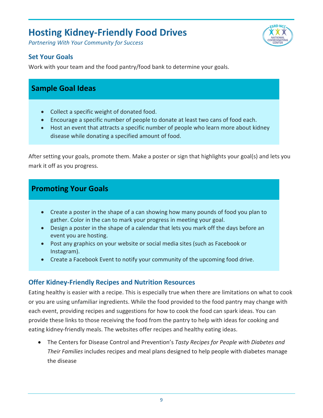*Partnering With Your Community for Success*



#### **Set Your Goals**

Work with your team and the food pantry/food bank to determine your goals.

### <span id="page-9-0"></span>**Sample Goal Ideas**

- Collect a specific weight of donated food.
- Encourage a specific number of people to donate at least two cans of food each.
- Host an event that attracts a specific number of people who learn more about kidney disease while donating a specified amount of food.

After setting your goals, promote them. Make a poster or sign that highlights your goal(s) and lets you mark it off as you progress.

### **Promoting Your Goals**

- Create a poster in the shape of a can showing how many pounds of food you plan to gather. Color in the can to mark your progress in meeting your goal.
- Design a poster in the shape of a calendar that lets you mark off the days before an event you are hosting.
- Post any graphics on your website or social media sites (such as Facebook or Instagram).
- Create a Facebook Event to notify your community of the upcoming food drive.

#### **Offer Kidney-Friendly Recipes and Nutrition Resources**

Eating healthy is easier with a recipe. This is especially true when there are limitations on what to cook or you are using unfamiliar ingredients. While the food provided to the food pantry may change with each event, providing recipes and suggestions for how to cook the food can spark ideas. You can provide these links to those receiving the food from the pantry to help with ideas for cooking and eating kidney-friendly meals. The websites offer recipes and healthy eating ideas.

• The Centers for Disease Control and Prevention's *Tasty Recipes for People with Diabetes and Their Families* includes recipes and meal plans designed to help people with diabetes manage the disease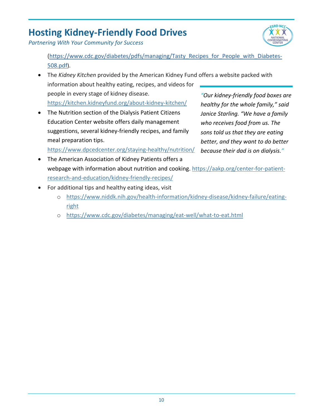*Partnering With Your Community for Success*

(https://www.cdc.gov/diabetes/pdfs/managing/Tasty\_Recipes\_for\_People\_with\_Diabetes-508.pdf).

• The *Kidney Kitchen* provided by the American Kidney Fund offers a website packed with information about healthy eating, recipes, and videos for people in every stage of kidney disease.

<https://kitchen.kidneyfund.org/about-kidney-kitchen/>

• The Nutrition section of the Dialysis Patient Citizens Education Center website offers daily management suggestions, several kidney-friendly recipes, and family meal preparation tips.

*"Our kidney-friendly food boxes are healthy for the whole family," said Janice Starling. "We have a family who receives food from us. The sons told us that they are eating better, and they want to do better because their dad is on dialysis."*

<https://www.dpcedcenter.org/staying-healthy/nutrition/>

- The American Association of Kidney Patients offers a webpage with information about nutrition and cooking. [https://aakp.org/center-for-patient](https://aakp.org/center-for-patient-research-and-education/kidney-friendly-recipes/)[research-and-education/kidney-friendly-recipes/](https://aakp.org/center-for-patient-research-and-education/kidney-friendly-recipes/)
- <span id="page-10-0"></span>• For additional tips and healthy eating ideas, visit
	- o [https://www.niddk.nih.gov/health-information/kidney-disease/kidney-failure/eating](https://www.niddk.nih.gov/health-information/kidney-disease/kidney-failure/eating-right)[right](https://www.niddk.nih.gov/health-information/kidney-disease/kidney-failure/eating-right)
	- o <https://www.cdc.gov/diabetes/managing/eat-well/what-to-eat.html>

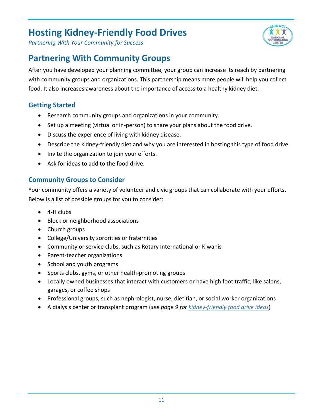

*Partnering With Your Community for Success*

### <span id="page-11-0"></span>**Partnering With Community Groups**

After you have developed your planning committee, your group can increase its reach by partnering with community groups and organizations. This partnership means more people will help you collect food. It also increases awareness about the importance of access to a healthy kidney diet.

#### **Getting Started**

- Research community groups and organizations in your community.
- Set up a meeting (virtual or in-person) to share your plans about the food drive.
- Discuss the experience of living with kidney disease.
- Describe the kidney-friendly diet and why you are interested in hosting this type of food drive.
- Invite the organization to join your efforts.
- Ask for ideas to add to the food drive.

#### **Community Groups to Consider**

Your community offers a variety of volunteer and civic groups that can collaborate with your efforts. Below is a list of possible groups for you to consider:

- 4-H clubs
- Block or neighborhood associations
- Church groups
- College/University sororities or fraternities
- Community or service clubs, such as Rotary International or Kiwanis
- Parent-teacher organizations
- School and youth programs
- Sports clubs, gyms, or other health-promoting groups
- Locally owned businesses that interact with customers or have high foot traffic, like salons, garages, or coffee shops
- Professional groups, such as nephrologist, nurse, dietitian, or social worker organizations
- A dialysis center or transplant program (*see page 9 for [kidney-friendly food drive ideas](#page-9-0)*)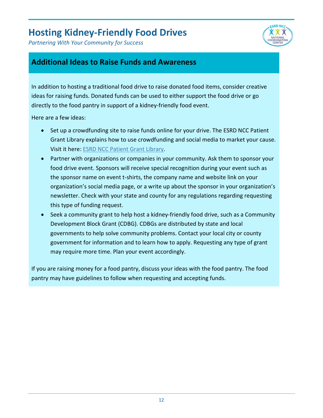*Partnering With Your Community for Success*



### **Additional Ideas to Raise Funds and Awareness**

In addition to hosting a traditional food drive to raise donated food items, consider creative ideas for raising funds. Donated funds can be used to either support the food drive or go directly to the food pantry in support of a kidney-friendly food event.

Here are a few ideas:

- Set up a crowdfunding site to raise funds online for your drive. The ESRD NCC Patient Grant Library explains how to use crowdfunding and social media to market your cause. Visit it here: [ESRD NCC Patient Grant Library.](https://www.esrdncc.org/en/patients/patient-grant-library/crowdfunding-and-social-media/)
- Partner with organizations or companies in your community. Ask them to sponsor your food drive event. Sponsors will receive special recognition during your event such as the sponsor name on event t-shirts, the company name and website link on your organization's social media page, or a write up about the sponsor in your organization's newsletter. Check with your state and county for any regulations regarding requesting this type of funding request.
- Seek a community grant to help host a kidney-friendly food drive, such as a Community Development Block Grant (CDBG). CDBGs are distributed by state and local governments to help solve community problems. Contact your local city or county government for information and to learn how to apply. Requesting any type of grant may require more time. Plan your event accordingly.

<span id="page-12-0"></span>If you are raising money for a food pantry, discuss your ideas with the food pantry. The food pantry may have guidelines to follow when requesting and accepting funds.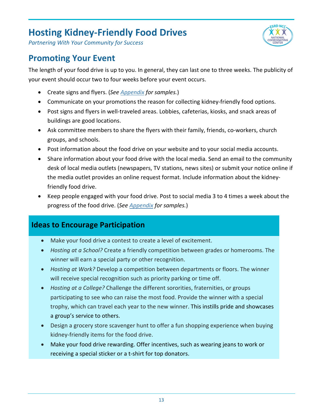

*Partnering With Your Community for Success*

### **Promoting Your Event**

The length of your food drive is up to you. In general, they can last one to three weeks. The publicity of your event should occur two to four weeks before your event occurs.

- Create signs and flyers. (*See [Appendix](#page-19-0) for samples.*)
- Communicate on your promotions the reason for collecting kidney-friendly food options.
- Post signs and flyers in well-traveled areas. Lobbies, cafeterias, kiosks, and snack areas of buildings are good locations.
- Ask committee members to share the flyers with their family, friends, co-workers, church groups, and schools.
- Post information about the food drive on your website and to your social media accounts.
- Share information about your food drive with the local media. Send an email to the community desk of local media outlets (newspapers, TV stations, news sites) or submit your notice online if the media outlet provides an online request format. Include information about the kidneyfriendly food drive.
- Keep people engaged with your food drive. Post to social media 3 to 4 times a week about the progress of the food drive. (*See [Appendix](#page-19-0) for samples.*)

### **Ideas to Encourage Participation**

- Make your food drive a contest to create a level of excitement.
- *Hosting at a School?* Create a friendly competition between grades or homerooms. The winner will earn a special party or other recognition.
- *Hosting at Work?* Develop a competition between departments or floors. The winner will receive special recognition such as priority parking or time off.
- *Hosting at a College?* Challenge the different sororities, fraternities, or groups participating to see who can raise the most food. Provide the winner with a special trophy, which can travel each year to the new winner. This instills pride and showcases a group's service to others.
- Design a grocery store scavenger hunt to offer a fun shopping experience when buying kidney-friendly items for the food drive.
- Make your food drive rewarding. Offer incentives, such as wearing jeans to work or receiving a special sticker or a t-shirt for top donators.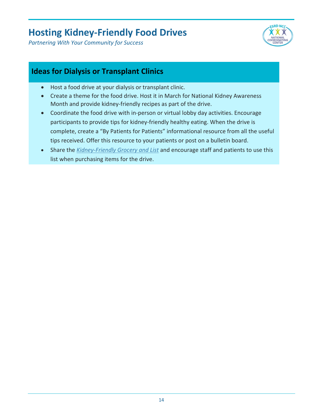*Partnering With Your Community for Success*



### **Ideas for Dialysis or Transplant Clinics**

- Host a food drive at your dialysis or transplant clinic.
- Create a theme for the food drive. Host it in March for National Kidney Awareness Month and provide kidney-friendly recipes as part of the drive.
- Coordinate the food drive with in-person or virtual lobby day activities. Encourage participants to provide tips for kidney-friendly healthy eating. When the drive is complete, create a "By Patients for Patients" informational resource from all the useful tips received. Offer this resource to your patients or post on a bulletin board.
- <span id="page-14-0"></span>• Share the *[Kidney-Friendly Grocery and List](#page-26-0)* and encourage staff and patients to use this list when purchasing items for the drive.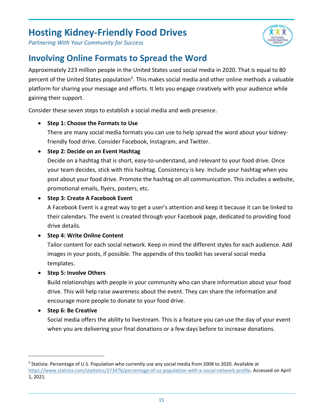

*Partnering With Your Community for Success*

### **Involving Online Formats to Spread the Word**

Approximately 223 million people in the United States used social media in 2020. That is equal to 80 percent of the United States population<sup>[5](#page-15-0)</sup>. This makes social media and other online methods a valuable platform for sharing your message and efforts. It lets you engage creatively with your audience while gaining their support.

Consider these seven steps to establish a social media and web presence.

#### • **Step 1: Choose the Formats to Use**

There are many social media formats you can use to help spread the word about your kidneyfriendly food drive. Consider Facebook, Instagram, and Twitter.

#### • **Step 2: Decide on an Event Hashtag**

Decide on a hashtag that is short, easy-to-understand, and relevant to your food drive. Once your team decides, stick with this hashtag. Consistency is key. Include your hashtag when you post about your food drive. Promote the hashtag on all communication. This includes a website, promotional emails, flyers, posters, etc.

#### • **Step 3: Create A Facebook Event**

A Facebook Event is a great way to get a user's attention and keep it because it can be linked to their calendars. The event is created through your Facebook page, dedicated to providing food drive details.

#### • **Step 4: Write Online Content**

Tailor content for each social network. Keep in mind the different styles for each audience. Add images in your posts, if possible. The appendix of this toolkit has several social media templates.

#### • **Step 5: Involve Others**

Build relationships with people in your community who can share information about your food drive. This will help raise awareness about the event. They can share the information and encourage more people to donate to your food drive.

#### • **Step 6: Be Creative**

Social media offers the ability to livestream. This is a feature you can use the day of your event when you are delivering your final donations or a few days before to increase donations.

<span id="page-15-0"></span><sup>5</sup> Statista. Percentage of U.S. Population who currently use any social media from 2008 to 2020. Available at [https://www.statista.com/statistics/273476/percentage-of-us-population-with-a-social-network-profile.](https://www.statista.com/statistics/273476/percentage-of-us-population-with-a-social-network-profile) Accessed on April 1, 2021.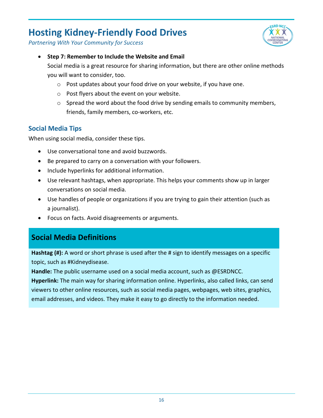

*Partnering With Your Community for Success*

• **Step 7: Remember to Include the Website and Email**

Social media is a great resource for sharing information, but there are other online methods you will want to consider, too.

- o Post updates about your food drive on your website, if you have one.
- o Post flyers about the event on your website.
- $\circ$  Spread the word about the food drive by sending emails to community members, friends, family members, co-workers, etc.

#### **Social Media Tips**

When using social media, consider these tips.

- Use conversational tone and avoid buzzwords.
- Be prepared to carry on a conversation with your followers.
- Include hyperlinks for additional information.
- Use relevant hashtags, when appropriate. This helps your comments show up in larger conversations on social media.
- Use handles of people or organizations if you are trying to gain their attention (such as a journalist).
- Focus on facts. Avoid disagreements or arguments.

### **Social Media Definitions**

**Hashtag (#):** A word or short phrase is used after the # sign to identify messages on a specific topic, such as #Kidneydisease.

**Handle:** The public username used on a social media account, such as @ESRDNCC.

<span id="page-16-0"></span>**Hyperlink:** The main way for sharing information online. Hyperlinks, also called links, can send viewers to other online resources, such as social media pages, webpages, web sites, graphics, email addresses, and videos. They make it easy to go directly to the information needed.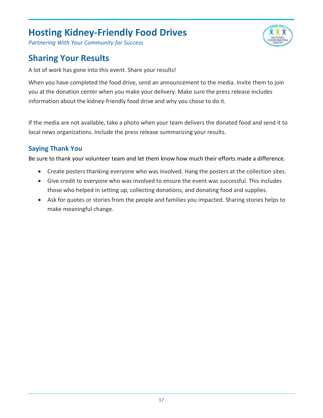*Partnering With Your Community for Success*

### **Sharing Your Results**

A lot of work has gone into this event. Share your results!

When you have completed the food drive, send an announcement to the media. Invite them to join you at the donation center when you make your delivery. Make sure the press release includes information about the kidney-friendly food drive and why you chose to do it.

If the media are not available, take a photo when your team delivers the donated food and send it to local news organizations. Include the press release summarizing your results.

#### **Saying Thank You**

Be sure to thank your volunteer team and let them know how much their efforts made a difference.

- Create posters thanking everyone who was involved. Hang the posters at the collection sites.
- Give credit to everyone who was involved to ensure the event was successful. This includes those who helped in setting up, collecting donations, and donating food and supplies.
- <span id="page-17-0"></span>• Ask for quotes or stories from the people and families you impacted. Sharing stories helps to make meaningful change.

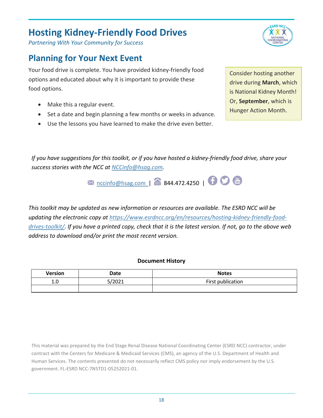*Partnering With Your Community for Success*

### **Planning for Your Next Event**

Your food drive is complete. You have provided kidney-friendly food options and educated about why it is important to provide these food options.

- Make this a regular event.
- Set a date and begin planning a few months or weeks in advance.
- Use the lessons you have learned to make the drive even better.

Consider hosting another drive during **March**, which is National Kidney Month! Or, **September**, which is Hunger Action Month.

*If you have suggestions for this toolkit, or if you have hosted a kidney-friendly food drive, share your success stories with the NCC at [NCCinfo@hsag.com.](mailto:NCCinfo@hsag.com)*

 $M$  [nccinfo@hsag.com |](mailto:nccinfo@hsag.com) 8 844.472.4250 |  $\bullet$ 

*This toolkit may be updated as new information or resources are available. The ESRD NCC will be updating the electronic copy at [https://www.esrdncc.org/en/resources/hosting-kidney-friendly-food](https://www.esrdncc.org/en/resources/hosting-kidney-friendly-food-drives-toolkit/)[drives-toolkit/.](https://www.esrdncc.org/en/resources/hosting-kidney-friendly-food-drives-toolkit/) If you have a printed copy, check that it is the latest version. If not, go to the above web address to download and/or print the most recent version.*

#### **Document History**

| Version | Date   | <b>Notes</b>      |
|---------|--------|-------------------|
| 1.0     | 5/2021 | First publication |
|         |        |                   |

This material was prepared by the End Stage Renal Disease National Coordinating Center (ESRD NCC) contractor, under contract with the Centers for Medicare & Medicaid Services (CMS), an agency of the U.S. Department of Health and Human Services. The contents presented do not necessarily reflect CMS policy nor imply endorsement by the U.S. government. FL-ESRD NCC-7N5TD1-05252021-01.

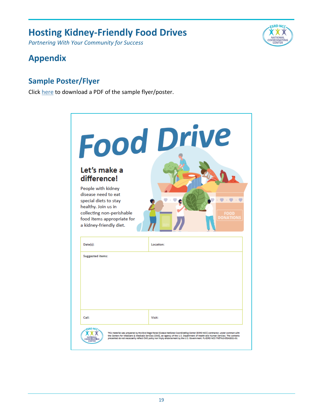*Partnering With Your Community for Success*

### <span id="page-19-0"></span>**Appendix**

### <span id="page-19-1"></span>**Sample Poster/Flyer**

Click [here](https://www.esrdncc.org/globalassets/food-drive/kidneyfooddriveflyer508.pdf) to download a PDF of the sample flyer/poster.



| Let's make a<br>difference!<br>People with kidney<br>disease need to eat<br>special diets to stay<br>healthy. Join us in<br>collecting non-perishable<br>food items appropriate for<br>a kidney-friendly diet. | <b>Food Drive</b><br>DONATIONS |
|----------------------------------------------------------------------------------------------------------------------------------------------------------------------------------------------------------------|--------------------------------|
| Date(s):<br><b>Suggested items:</b>                                                                                                                                                                            | Location:                      |
|                                                                                                                                                                                                                |                                |
|                                                                                                                                                                                                                |                                |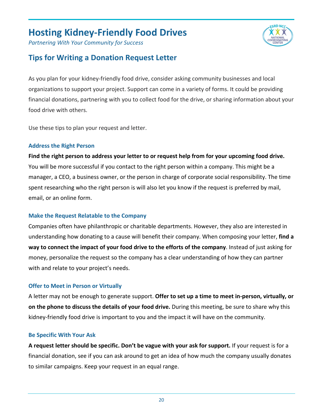*Partnering With Your Community for Success*

### <span id="page-20-0"></span>**Tips for Writing a Donation Request Letter**

As you plan for your kidney-friendly food drive, consider asking community businesses and local organizations to support your project. Support can come in a variety of forms. It could be providing financial donations, partnering with you to collect food for the drive, or sharing information about your food drive with others.

**CRD NC** 

Use these tips to plan your request and letter.

#### **Address the Right Person**

**Find the right person to address your letter to or request help from for your upcoming food drive.** You will be more successful if you contact to the right person within a company. This might be a manager, a CEO, a business owner, or the person in charge of corporate social responsibility. The time spent researching who the right person is will also let you know if the request is preferred by mail, email, or an online form.

#### **Make the Request Relatable to the Company**

Companies often have philanthropic or charitable departments. However, they also are interested in understanding how donating to a cause will benefit their company. When composing your letter, **find a way to connect the impact of your food drive to the efforts of the company**. Instead of just asking for money, personalize the request so the company has a clear understanding of how they can partner with and relate to your project's needs.

#### **Offer to Meet in Person or Virtually**

A letter may not be enough to generate support. **Offer to set up a time to meet in-person, virtually, or on the phone to discuss the details of your food drive.** During this meeting, be sure to share why this kidney-friendly food drive is important to you and the impact it will have on the community.

#### **Be Specific With Your Ask**

**A request letter should be specific. Don't be vague with your ask for support.** If your request is for a financial donation, see if you can ask around to get an idea of how much the company usually donates to similar campaigns. Keep your request in an equal range.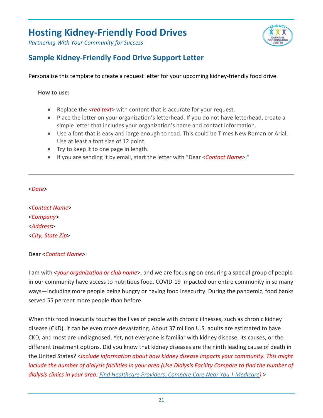*Partnering With Your Community for Success*



### <span id="page-21-0"></span>**Sample Kidney-Friendly Food Drive Support Letter**

Personalize this template to create a request letter for your upcoming kidney-friendly food drive.

**How to use:** 

- Replace the <*red text*> with content that is accurate for your request.
- Place the letter on your organization's letterhead. If you do not have letterhead, create a simple letter that includes your organization's name and contact information.
- Use a font that is easy and large enough to read. This could be Times New Roman or Arial. Use at least a font size of 12 point.
- Try to keep it to one page in length.
- If you are sending it by email, start the letter with "Dear <*Contact Name*>:"

#### <*Date*>

<*Contact Name*> <*Company*> <*Address*> <*City, State Zip*>

#### Dear <*Contact Name*>:

I am with <*your organization or club name*>, and we are focusing on ensuring a special group of people in our community have access to nutritious food. COVID-19 impacted our entire community in so many ways—including more people being hungry or having food insecurity. During the pandemic, food banks served 55 percent more people than before.

When this food insecurity touches the lives of people with chronic illnesses, such as chronic kidney disease (CKD), it can be even more devastating. About 37 million U.S. adults are estimated to have CKD, and most are undiagnosed. Yet, not everyone is familiar with kidney disease, its causes, or the different treatment options. Did you know that kidney diseases are the ninth leading cause of death in the United States? <*Include information about how kidney disease impacts your community. This might*  include the number of dialysis facilities in your area (Use Dialysis Facility Compare to find the number of *dialysis clinics in your area: [Find Healthcare Providers: Compare Care Near You | Medicare\)](https://www.medicare.gov/care-compare/?providerType=DialysisFacility&redirect=true)* >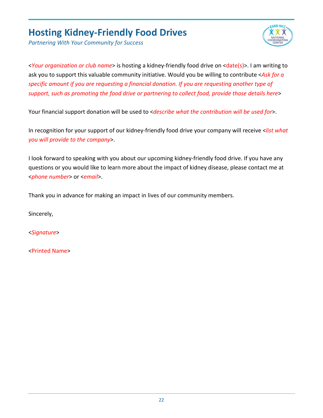

*Partnering With Your Community for Success*

<*Your organization or club name*> is hosting a kidney-friendly food drive on <date(s)>. I am writing to ask you to support this valuable community initiative. Would you be willing to contribute <*Ask for a specific amount if you are requesting a financial donation. If you are requesting another type of support, such as promoting the food drive or partnering to collect food, provide those details here*>

Your financial support donation will be used to <*describe what the contribution will be used for*>.

In recognition for your support of our kidney-friendly food drive your company will receive <*list what you will provide to the company*>.

I look forward to speaking with you about our upcoming kidney-friendly food drive. If you have any questions or you would like to learn more about the impact of kidney disease, please contact me at <*phone number*> or <*email*>.

Thank you in advance for making an impact in lives of our community members.

Sincerely,

<*Signature*>

<Printed Name>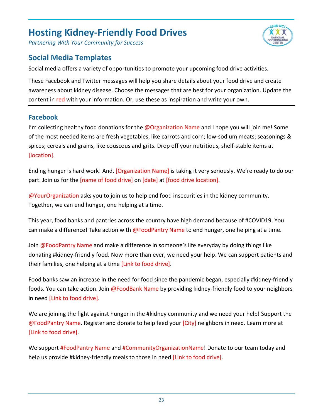

### <span id="page-23-0"></span>**Social Media Templates**

Social media offers a variety of opportunities to promote your upcoming food drive activities.

These Facebook and Twitter messages will help you share details about your food drive and create awareness about kidney disease. Choose the messages that are best for your organization. Update the content in red with your information. Or, use these as inspiration and write your own.

**CRD NC** 

#### **Facebook**

I'm collecting healthy food donations for the @Organization Name and I hope you will join me! Some of the most needed items are fresh vegetables, like carrots and corn; low-sodium meats; seasonings & spices; cereals and grains, like couscous and grits. Drop off your nutritious, shelf-stable items at [location].

Ending hunger is hard work! And, [Organization Name] is taking it very seriously. We're ready to do our part. Join us for the [name of food drive] on [date] at [food drive location].

@YourOrganization asks you to join us to help end food insecurities in the kidney community. Together, we can end hunger, one helping at a time.

This year, food banks and pantries across the country have high demand because of #COVID19. You can make a difference! Take action with @FoodPantry Name to end hunger, one helping at a time.

Join @FoodPantry Name and make a difference in someone's life everyday by doing things like donating #kidney-friendly food. Now more than ever, we need your help. We can support patients and their families, one helping at a time [Link to food drive].

Food banks saw an increase in the need for food since the pandemic began, especially #kidney-friendly foods. You can take action. Join @FoodBank Name by providing kidney-friendly food to your neighbors in need [Link to food drive].

We are joining the fight against hunger in the #kidney community and we need your help! Support the @FoodPantry Name. Register and donate to help feed your [City] neighbors in need. Learn more at [Link to food drive].

We support **#FoodPantry Name and #CommunityOrganizationName!** Donate to our team today and help us provide #kidney-friendly meals to those in need [Link to food drive].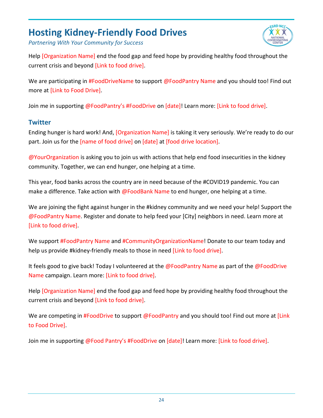

*Partnering With Your Community for Success*

Help [Organization Name] end the food gap and feed hope by providing healthy food throughout the current crisis and beyond [Link to food drive].

We are participating in **#FoodDriveName to support @FoodPantry Name and you should too! Find out** more at [Link to Food Drive].

Join me in supporting @FoodPantry's #FoodDrive on [date]! Learn more: [Link to food drive].

#### **Twitter**

Ending hunger is hard work! And, [Organization Name] is taking it very seriously. We're ready to do our part. Join us for the [name of food drive] on [date] at [food drive location].

@YourOrganization is asking you to join us with actions that help end food insecurities in the kidney community. Together, we can end hunger, one helping at a time.

This year, food banks across the country are in need because of the #COVID19 pandemic. You can make a difference. Take action with @FoodBank Name to end hunger, one helping at a time.

We are joining the fight against hunger in the #kidney community and we need your help! Support the @FoodPantry Name. Register and donate to help feed your [City] neighbors in need. Learn more at [Link to food drive].

We support **#FoodPantry Name and #CommunityOrganizationName!** Donate to our team today and help us provide #kidney-friendly meals to those in need [Link to food drive].

It feels good to give back! Today I volunteered at the @FoodPantry Name as part of the @FoodDrive Name campaign. Learn more: [Link to food drive].

Help [Organization Name] end the food gap and feed hope by providing healthy food throughout the current crisis and beyond [Link to food drive].

We are competing in #FoodDrive to support @FoodPantry and you should too! Find out more at [Link to Food Drive].

Join me in supporting @Food Pantry's #FoodDrive on [date]! Learn more: [Link to food drive].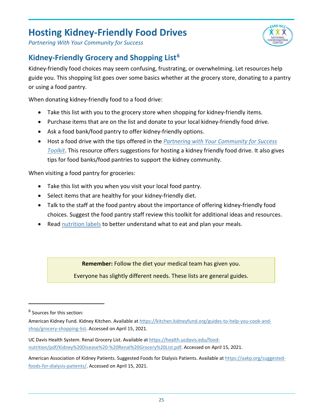

*Partnering With Your Community for Success*

### <span id="page-25-0"></span>**Kidney-Friendly Grocery and Shopping List[6](#page-25-1)**

Kidney-friendly food choices may seem confusing, frustrating, or overwhelming. Let resources help guide you. This shopping list goes over some basics whether at the grocery store, donating to a pantry or using a food pantry.

When donating kidney-friendly food to a food drive:

- Take this list with you to the grocery store when shopping for kidney-friendly items.
- Purchase items that are on the list and donate to your local kidney-friendly food drive.
- Ask a food bank/food pantry to offer kidney-friendly options.
- Host a food drive with the tips offered in the *[Partnering with Your Community for Success](#page-11-0)  [Toolkit](#page-11-0)*. This resource offers suggestions for hosting a kidney friendly food drive. It also gives tips for food banks/food pantries to support the kidney community.

When visiting a food pantry for groceries:

- Take this list with you when you visit your local food pantry.
- Select items that are healthy for your kidney-friendly diet.
- Talk to the staff at the food pantry about the importance of offering kidney-friendly food choices. Suggest the food pantry staff review this toolkit for additional ideas and resources.
- Read [nutrition labels](https://www.dpcedcenter.org/staying-healthy/nutrition/reading-food-labels/) to better understand what to eat and plan your meals.

**Remember:** Follow the diet your medical team has given you.

Everyone has slightly different needs. These lists are general guides.

<span id="page-25-1"></span><sup>&</sup>lt;sup>6</sup> Sources for this section:

American Kidney Fund. Kidney Kitchen. Available a[t https://kitchen.kidneyfund.org/guides-to-help-you-cook-and](https://kitchen.kidneyfund.org/guides-to-help-you-cook-and-shop/grocery-shopping-list)[shop/grocery-shopping-list.](https://kitchen.kidneyfund.org/guides-to-help-you-cook-and-shop/grocery-shopping-list) Accessed on April 15, 2021.

UC Davis Health System. Renal Grocery List. Available at [https://health.ucdavis.edu/food](https://health.ucdavis.edu/food-nutrition/pdf/Kidney%20Disease%20-%20Renal%20Grocery%20List.pdf)[nutrition/pdf/Kidney%20Disease%20-%20Renal%20Grocery%20List.pdf.](https://health.ucdavis.edu/food-nutrition/pdf/Kidney%20Disease%20-%20Renal%20Grocery%20List.pdf) Accessed on April 15, 2021.

American Association of Kidney Patients. Suggested Foods for Dialysis Patients. Available a[t https://aakp.org/suggested](https://aakp.org/suggested-foods-for-dialysis-patients/)[foods-for-dialysis-patients/.](https://aakp.org/suggested-foods-for-dialysis-patients/) Accessed on April 15, 2021.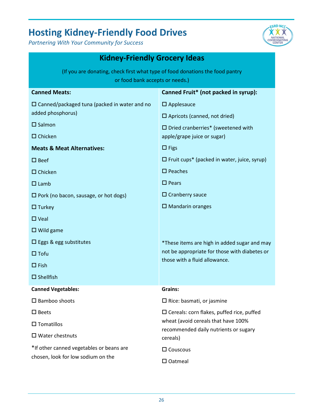

<span id="page-26-0"></span>

| <b>Kidney-Friendly Grocery Ideas</b>                                                                             |                                                                                |  |
|------------------------------------------------------------------------------------------------------------------|--------------------------------------------------------------------------------|--|
| (If you are donating, check first what type of food donations the food pantry<br>or food bank accepts or needs.) |                                                                                |  |
| <b>Canned Meats:</b>                                                                                             | Canned Fruit* (not packed in syrup):                                           |  |
| $\Box$ Canned/packaged tuna (packed in water and no<br>added phosphorus)                                         | $\square$ Applesauce<br>$\Box$ Apricots (canned, not dried)                    |  |
| $\square$ Salmon                                                                                                 | $\square$ Dried cranberries* (sweetened with                                   |  |
| $\Box$ Chicken                                                                                                   | apple/grape juice or sugar)                                                    |  |
| <b>Meats &amp; Meat Alternatives:</b>                                                                            | $\Box$ Figs                                                                    |  |
| $\square$ Beef                                                                                                   | $\Box$ Fruit cups* (packed in water, juice, syrup)                             |  |
| $\Box$ Chicken                                                                                                   | $\square$ Peaches                                                              |  |
| $\Box$ Lamb                                                                                                      | $\square$ Pears                                                                |  |
| $\Box$ Pork (no bacon, sausage, or hot dogs)                                                                     | $\Box$ Cranberry sauce                                                         |  |
| $\Box$ Turkey                                                                                                    | $\square$ Mandarin oranges                                                     |  |
| $\Box$ Veal                                                                                                      |                                                                                |  |
| $\Box$ Wild game                                                                                                 |                                                                                |  |
| $\Box$ Eggs & egg substitutes                                                                                    | *These items are high in added sugar and may                                   |  |
| $\Box$ Tofu                                                                                                      | not be appropriate for those with diabetes or<br>those with a fluid allowance. |  |
| $\Box$ Fish                                                                                                      |                                                                                |  |
| $\square$ Shellfish                                                                                              |                                                                                |  |
| <b>Canned Vegetables:</b>                                                                                        | Grains:                                                                        |  |
| $\square$ Bamboo shoots                                                                                          | $\Box$ Rice: basmati, or jasmine                                               |  |
| $\square$ Beets                                                                                                  | $\square$ Cereals: corn flakes, puffed rice, puffed                            |  |
| $\square$ Tomatillos                                                                                             | wheat (avoid cereals that have 100%<br>recommended daily nutrients or sugary   |  |
| $\Box$ Water chestnuts                                                                                           | cereals)                                                                       |  |
| *If other canned vegetables or beans are                                                                         | $\square$ Couscous                                                             |  |
| chosen, look for low sodium on the                                                                               | $\square$ Oatmeal                                                              |  |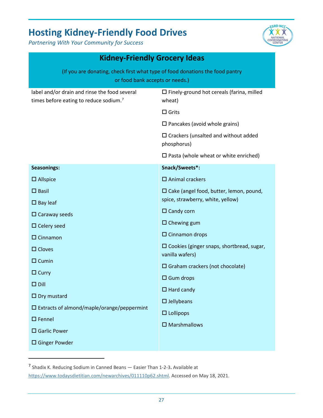

| <b>Kidney-Friendly Grocery Ideas</b>                                                                             |                                                               |  |
|------------------------------------------------------------------------------------------------------------------|---------------------------------------------------------------|--|
| (If you are donating, check first what type of food donations the food pantry<br>or food bank accepts or needs.) |                                                               |  |
| label and/or drain and rinse the food several<br>times before eating to reduce sodium. <sup>7</sup>              | $\square$ Finely-ground hot cereals (farina, milled<br>wheat) |  |
|                                                                                                                  | $\Box$ Grits                                                  |  |
|                                                                                                                  | $\square$ Pancakes (avoid whole grains)                       |  |
|                                                                                                                  | $\Box$ Crackers (unsalted and without added<br>phosphorus)    |  |
|                                                                                                                  | $\square$ Pasta (whole wheat or white enriched)               |  |
| <b>Seasonings:</b>                                                                                               | Snack/Sweets*:                                                |  |
| $\square$ Allspice                                                                                               | $\square$ Animal crackers                                     |  |
| $\square$ Basil                                                                                                  | $\square$ Cake (angel food, butter, lemon, pound,             |  |
| $\square$ Bay leaf                                                                                               | spice, strawberry, white, yellow)                             |  |
| $\square$ Caraway seeds                                                                                          | $\Box$ Candy corn                                             |  |
| $\Box$ Celery seed                                                                                               | $\Box$ Chewing gum                                            |  |
| $\Box$ Cinnamon                                                                                                  | $\square$ Cinnamon drops                                      |  |
| $\square$ Cloves                                                                                                 | $\square$ Cookies (ginger snaps, shortbread, sugar,           |  |
| $\Box$ Cumin                                                                                                     | vanilla wafers)                                               |  |
| $\Box$ Curry                                                                                                     | $\square$ Graham crackers (not chocolate)                     |  |
| $\Box$ Dill                                                                                                      | $\Box$ Gum drops                                              |  |
| $\Box$ Dry mustard                                                                                               | $\Box$ Hard candy                                             |  |
| $\square$ Extracts of almond/maple/orange/peppermint                                                             | $\square$ Jellybeans                                          |  |
| $\square$ Fennel                                                                                                 | $\Box$ Lollipops                                              |  |
| $\square$ Garlic Power                                                                                           | $\square$ Marshmallows                                        |  |
| $\square$ Ginger Powder                                                                                          |                                                               |  |

<span id="page-27-0"></span><sup>7</sup> Shadix K. Reducing Sodium in Canned Beans — Easier Than 1-2-3**.** Available at

[https://www.todaysdietitian.com/newarchives/011110p62.shtml.](https://www.todaysdietitian.com/newarchives/011110p62.shtml) Accessed on May 18, 2021.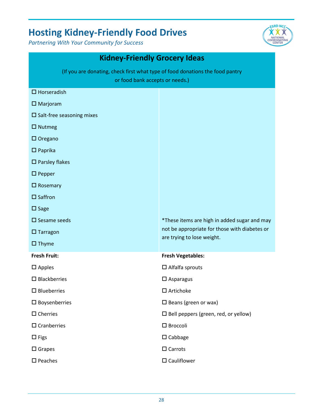

| <b>Kidney-Friendly Grocery Ideas</b>                                                                             |                                                                             |  |
|------------------------------------------------------------------------------------------------------------------|-----------------------------------------------------------------------------|--|
| (If you are donating, check first what type of food donations the food pantry<br>or food bank accepts or needs.) |                                                                             |  |
| $\Box$ Horseradish                                                                                               |                                                                             |  |
| $\square$ Marjoram                                                                                               |                                                                             |  |
| $\square$ Salt-free seasoning mixes                                                                              |                                                                             |  |
| $\Box$ Nutmeg                                                                                                    |                                                                             |  |
| $\Box$ Oregano                                                                                                   |                                                                             |  |
| $\square$ Paprika                                                                                                |                                                                             |  |
| $\square$ Parsley flakes                                                                                         |                                                                             |  |
| $\square$ Pepper                                                                                                 |                                                                             |  |
| $\Box$ Rosemary                                                                                                  |                                                                             |  |
| $\square$ Saffron                                                                                                |                                                                             |  |
| $\square$ Sage                                                                                                   |                                                                             |  |
| $\square$ Sesame seeds                                                                                           | *These items are high in added sugar and may                                |  |
| $\Box$ Tarragon                                                                                                  | not be appropriate for those with diabetes or<br>are trying to lose weight. |  |
| $\square$ Thyme                                                                                                  |                                                                             |  |
| <b>Fresh Fruit:</b>                                                                                              | <b>Fresh Vegetables:</b>                                                    |  |
| $\square$ Apples                                                                                                 | $\square$ Alfalfa sprouts                                                   |  |
| $\square$ Blackberries                                                                                           | $\square$ Asparagus                                                         |  |
| $\square$ Blueberries                                                                                            | $\square$ Artichoke                                                         |  |
| $\square$ Boysenberries                                                                                          | $\square$ Beans (green or wax)                                              |  |
| $\Box$ Cherries                                                                                                  | $\square$ Bell peppers (green, red, or yellow)                              |  |
| $\square$ Cranberries                                                                                            | $\square$ Broccoli                                                          |  |
| $\Box$ Figs                                                                                                      | $\square$ Cabbage                                                           |  |
| $\square$ Grapes                                                                                                 | $\Box$ Carrots                                                              |  |
| $\square$ Peaches                                                                                                | $\square$ Cauliflower                                                       |  |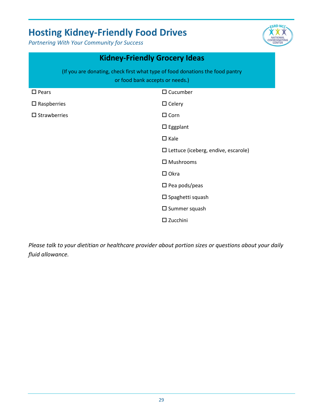*Partnering With Your Community for Success*



|                                                                                                                  | <b>Kidney-Friendly Grocery Ideas</b>       |  |
|------------------------------------------------------------------------------------------------------------------|--------------------------------------------|--|
| (If you are donating, check first what type of food donations the food pantry<br>or food bank accepts or needs.) |                                            |  |
| $\square$ Pears                                                                                                  | $\Box$ Cucumber                            |  |
| $\square$ Raspberries                                                                                            | $\Box$ Celery                              |  |
| $\square$ Strawberries                                                                                           | $\Box$ Corn                                |  |
|                                                                                                                  | $\square$ Eggplant                         |  |
|                                                                                                                  | $\Box$ Kale                                |  |
|                                                                                                                  | $\Box$ Lettuce (iceberg, endive, escarole) |  |
|                                                                                                                  | $\square$ Mushrooms                        |  |
|                                                                                                                  | $\Box$ Okra                                |  |
|                                                                                                                  | $\square$ Pea pods/peas                    |  |
|                                                                                                                  | $\square$ Spaghetti squash                 |  |
|                                                                                                                  | $\square$ Summer squash                    |  |
|                                                                                                                  | $\square$ Zucchini                         |  |

*Please talk to your dietitian or healthcare provider about portion sizes or questions about your daily fluid allowance.*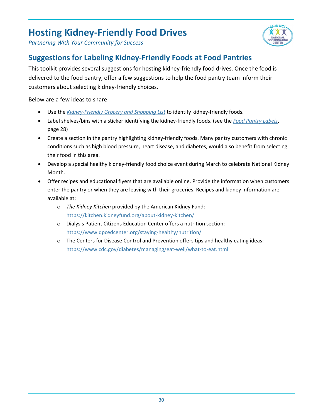



### <span id="page-30-0"></span>**Suggestions for Labeling Kidney-Friendly Foods at Food Pantries**

This toolkit provides several suggestions for hosting kidney-friendly food drives. Once the food is delivered to the food pantry, offer a few suggestions to help the food pantry team inform their customers about selecting kidney-friendly choices.

Below are a few ideas to share:

- Use the *[Kidney-Friendly Grocery and Shopping List](#page-26-0)* to identify kidney-friendly foods.
- Label shelves/bins with a sticker identifying the kidney-friendly foods. (see the *[Food Pantry Labels](#page-31-0)*, page 28)
- Create a section in the pantry highlighting kidney-friendly foods. Many pantry customers with chronic conditions such as high blood pressure, heart disease, and diabetes, would also benefit from selecting their food in this area.
- Develop a special healthy kidney-friendly food choice event during March to celebrate National Kidney Month.
- Offer recipes and educational flyers that are available online. Provide the information when customers enter the pantry or when they are leaving with their groceries. Recipes and kidney information are available at:
	- o *The Kidney Kitchen* provided by the American Kidney Fund: <https://kitchen.kidneyfund.org/about-kidney-kitchen/>
	- o Dialysis Patient Citizens Education Center offers a nutrition section: <https://www.dpcedcenter.org/staying-healthy/nutrition/>
	- $\circ$  The Centers for Disease Control and Prevention offers tips and healthy eating ideas: <https://www.cdc.gov/diabetes/managing/eat-well/what-to-eat.html>